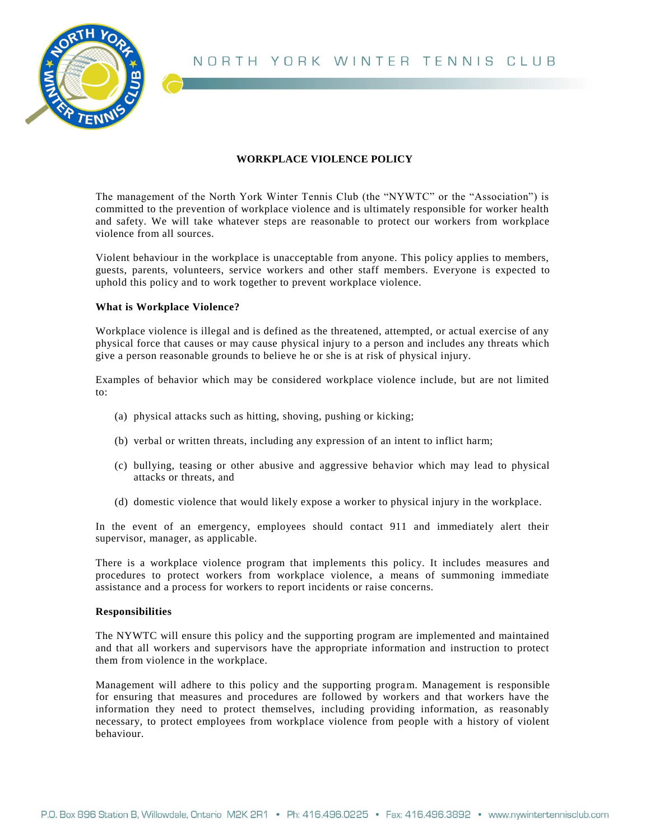



# **WORKPLACE VIOLENCE POLICY**

The management of the North York Winter Tennis Club (the "NYWTC" or the "Association") is committed to the prevention of workplace violence and is ultimately responsible for worker health and safety. We will take whatever steps are reasonable to protect our workers from workplace violence from all sources.

Violent behaviour in the workplace is unacceptable from anyone. This policy applies to members, guests, parents, volunteers, service workers and other staff members. Everyone is expected to uphold this policy and to work together to prevent workplace violence.

## **What is Workplace Violence?**

Workplace violence is illegal and is defined as the threatened, attempted, or actual exercise of any physical force that causes or may cause physical injury to a person and includes any threats which give a person reasonable grounds to believe he or she is at risk of physical injury.

Examples of behavior which may be considered workplace violence include, but are not limited to:

- (a) physical attacks such as hitting, shoving, pushing or kicking;
- (b) verbal or written threats, including any expression of an intent to inflict harm;
- (c) bullying, teasing or other abusive and aggressive behavior which may lead to physical attacks or threats, and
- (d) domestic violence that would likely expose a worker to physical injury in the workplace.

In the event of an emergency, employees should contact 911 and immediately alert their supervisor, manager, as applicable.

There is a workplace violence program that implements this policy. It includes measures and procedures to protect workers from workplace violence, a means of summoning immediate assistance and a process for workers to report incidents or raise concerns.

## **Responsibilities**

The NYWTC will ensure this policy and the supporting program are implemented and maintained and that all workers and supervisors have the appropriate information and instruction to protect them from violence in the workplace.

Management will adhere to this policy and the supporting program. Management is responsible for ensuring that measures and procedures are followed by workers and that workers have the information they need to protect themselves, including providing information, as reasonably necessary, to protect employees from workplace violence from people with a history of violent behaviour.